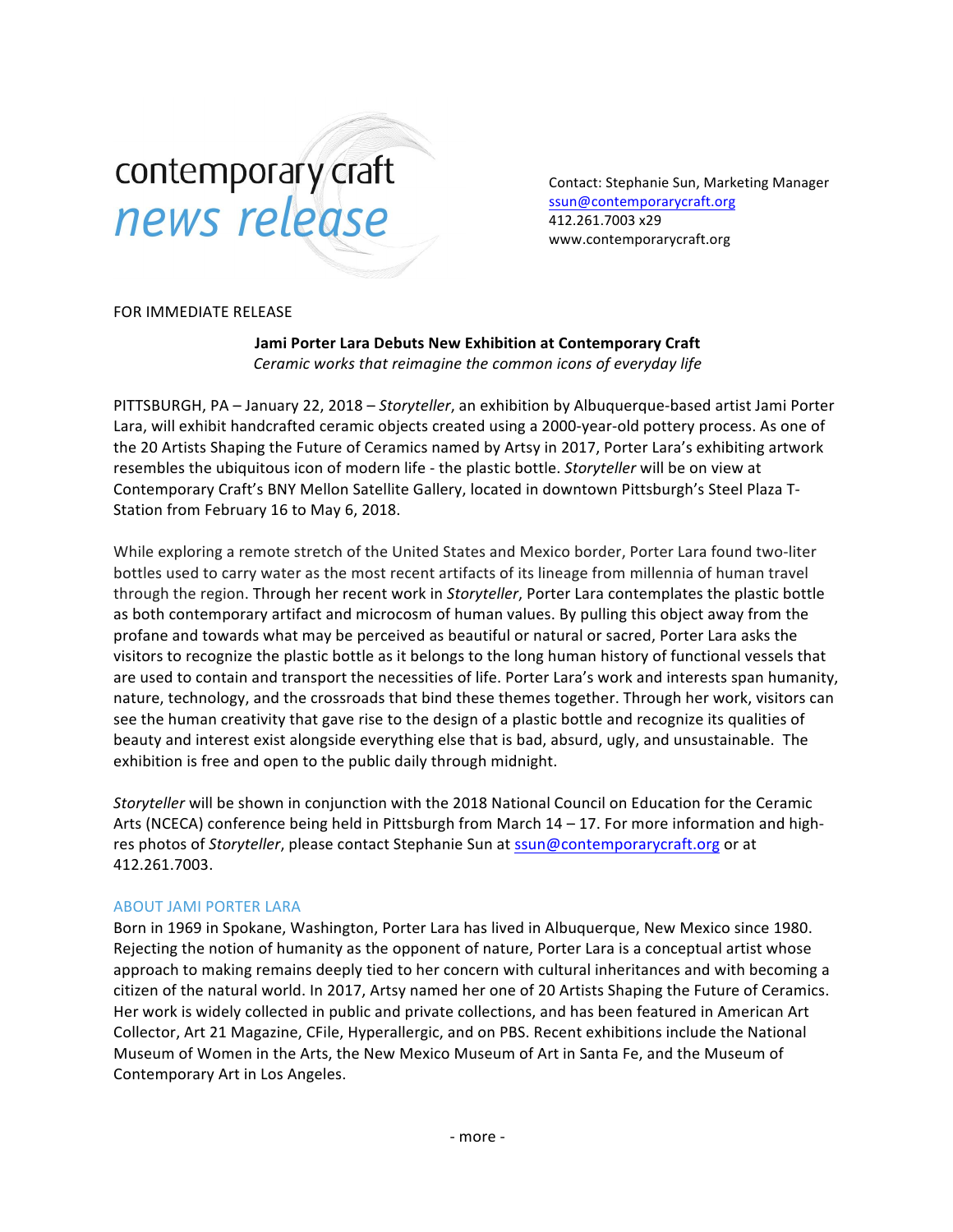# contemporary craft news release

Contact: Stephanie Sun, Marketing Manager [ssun@contemporarycraft.org](mailto:ssun@contemporarycraft.org) 412.261.7003 x29 www.contemporarycraft.org

## FOR IMMEDIATE RELEASE

**Jami Porter Lara Debuts New Exhibition at Contemporary Craft** *Ceramic* works that reimagine the common icons of everyday life

PITTSBURGH, PA – January 22, 2018 – *Storyteller*, an exhibition by Albuquerque-based artist Jami Porter Lara, will exhibit handcrafted ceramic objects created using a 2000-year-old pottery process. As one of the 20 Artists Shaping the Future of Ceramics named by Artsy in 2017, Porter Lara's exhibiting artwork resembles the ubiquitous icon of modern life - the plastic bottle. *Storyteller* will be on view at Contemporary Craft's BNY Mellon Satellite Gallery, located in downtown Pittsburgh's Steel Plaza T-Station from February 16 to May 6, 2018.

While exploring a remote stretch of the United States and Mexico border, Porter Lara found two-liter bottles used to carry water as the most recent artifacts of its lineage from millennia of human travel through the region. Through her recent work in *Storyteller*, Porter Lara contemplates the plastic bottle as both contemporary artifact and microcosm of human values. By pulling this object away from the profane and towards what may be perceived as beautiful or natural or sacred, Porter Lara asks the visitors to recognize the plastic bottle as it belongs to the long human history of functional vessels that are used to contain and transport the necessities of life. Porter Lara's work and interests span humanity, nature, technology, and the crossroads that bind these themes together. Through her work, visitors can see the human creativity that gave rise to the design of a plastic bottle and recognize its qualities of beauty and interest exist alongside everything else that is bad, absurd, ugly, and unsustainable. The exhibition is free and open to the public daily through midnight.

*Storyteller* will be shown in conjunction with the 2018 National Council on Education for the Ceramic Arts (NCECA) conference being held in Pittsburgh from March  $14 - 17$ . For more information and highres photos of *Storyteller*, please contact Stephanie Sun at  $ssun@contemporarycraft.org$  or at 412.261.7003.

## **ABOUT JAMI PORTER LARA**

Born in 1969 in Spokane, Washington, Porter Lara has lived in Albuquerque, New Mexico since 1980. Rejecting the notion of humanity as the opponent of nature, Porter Lara is a conceptual artist whose approach to making remains deeply tied to her concern with cultural inheritances and with becoming a citizen of the natural world. In 2017, Artsy named her one of 20 Artists Shaping the Future of Ceramics. Her work is widely collected in public and private collections, and has been featured in American Art Collector, Art 21 Magazine, CFile, Hyperallergic, and on PBS. Recent exhibitions include the National Museum of Women in the Arts, the New Mexico Museum of Art in Santa Fe, and the Museum of Contemporary Art in Los Angeles.